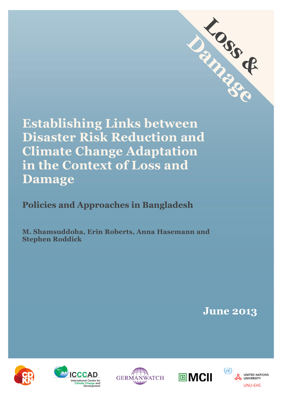

Establishing Links between Disaster Risk Reduction and Climate Change Adaptation in the Context of Loss and Damage

Policies and Approaches in Bangladesh

M. Shamsuddoha, Erin Roberts, Anna Hasemann and Stephen Roddick

# June 2013









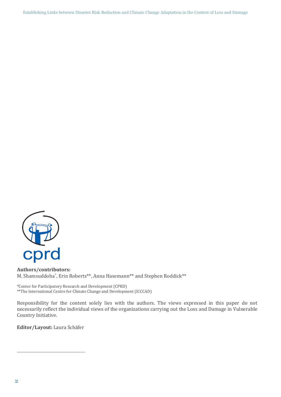Establishing Links between Disaster Risk Reduction and Climate Change Adaptation in the Context of Loss and Damage



Authors/contributors: M. Shamsuddoha\*, Erin Roberts\*\*, Anna Hasemann\*\* and Stephen Roddick\*\*

\*Center for Participatory Research and Development (CPRD) \*\*The International Centre for Climate Change and Development (ICCCAD)

Responsibility for the content solely lies with the authors. The views expressed in this paper do not necessarily reflect the individual views of the organizations carrying out the Loss and Damage in Vulnerable Country Initiative.

Editor/Layout: Laura Schäfer

.<br>-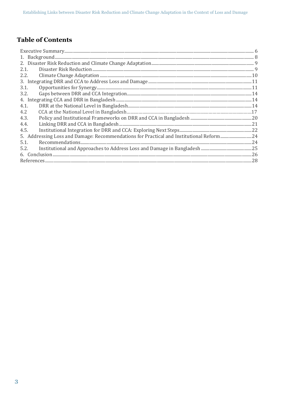## **Table of Contents**

| 2.1.                                                                                    |  |
|-----------------------------------------------------------------------------------------|--|
| 2.2.                                                                                    |  |
|                                                                                         |  |
| 3.1.                                                                                    |  |
|                                                                                         |  |
|                                                                                         |  |
| 4.1.                                                                                    |  |
| 4.2                                                                                     |  |
| 4.3.                                                                                    |  |
| 4.4.                                                                                    |  |
| 4.5.                                                                                    |  |
| 5. Addressing Loss and Damage: Recommendations for Practical and Institutional Reform24 |  |
| 5.1.                                                                                    |  |
| 5.2.                                                                                    |  |
|                                                                                         |  |
|                                                                                         |  |
|                                                                                         |  |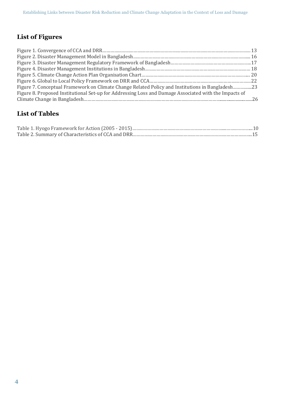## List of Figures

| Figure 7. Conceptual Framework on Climate Change Related Policy and Institutions in Bangladesh23      |  |
|-------------------------------------------------------------------------------------------------------|--|
| Figure 8. Proposed Institutional Set-up for Addressing Loss and Damage Associated with the Impacts of |  |
|                                                                                                       |  |

## List of Tables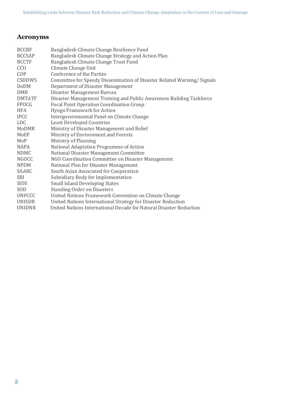## Acronyms

| Ministry of Disaster Management and Relief<br><b>MoDMR</b><br>Ministry of Environment and Forests<br>MoEF<br>Ministry of Planning<br>MoP<br>National Adaptation Programme of Action<br><b>NAPA</b><br>National Disaster Management Committee<br><b>NDMC</b><br>NGO Coordination Committee on Disaster Management<br><b>NGOCC</b><br>National Plan for Disaster Management<br><b>NPDM</b><br>South Asian Associated for Cooperation<br><b>SAARC</b><br>Subsidiary Body for Implementation<br><b>SBI</b><br><b>Small Island Developing States</b><br><b>SIDS</b><br>SOD | <b>BCCRF</b><br><b>BCCSAP</b><br><b>BCCTF</b><br><b>CCU</b><br>COP<br><b>CSDDWS</b><br><b>DoDM</b><br><b>DMB</b><br><b>DMTATF</b><br><b>FPOCG</b><br><b>HFA</b><br><b>IPCC</b><br><b>LDC</b> | Bangladesh Climate Change Resilience Fund<br>Bangladesh Climate Change Strategy and Action Plan<br>Bangladesh Climate Change Trust Fund<br>Climate Change Unit<br>Conference of the Parties<br>Committee for Speedy Dissemination of Disaster Related Warning/ Signals<br>Department of Disaster Management<br>Disaster Management Bureau<br>Disaster Management Training and Public Awareness Building Taskforce<br><b>Focal Point Operation Coordination Group</b><br>Hyogo Framework for Action<br>Intergovernmental Panel on Climate Change<br><b>Least Developed Countries</b> |
|-----------------------------------------------------------------------------------------------------------------------------------------------------------------------------------------------------------------------------------------------------------------------------------------------------------------------------------------------------------------------------------------------------------------------------------------------------------------------------------------------------------------------------------------------------------------------|----------------------------------------------------------------------------------------------------------------------------------------------------------------------------------------------|-------------------------------------------------------------------------------------------------------------------------------------------------------------------------------------------------------------------------------------------------------------------------------------------------------------------------------------------------------------------------------------------------------------------------------------------------------------------------------------------------------------------------------------------------------------------------------------|
| <b>Standing Order on Disasters</b>                                                                                                                                                                                                                                                                                                                                                                                                                                                                                                                                    |                                                                                                                                                                                              |                                                                                                                                                                                                                                                                                                                                                                                                                                                                                                                                                                                     |
| United Nations Framework Convention on Climate Change<br><b>UNFCCC</b><br>United Nations International Strategy for Disaster Reduction<br><b>UNISDR</b><br>United Nations International Decade for Natural Disaster Reduction<br><b>UNIDNR</b>                                                                                                                                                                                                                                                                                                                        |                                                                                                                                                                                              |                                                                                                                                                                                                                                                                                                                                                                                                                                                                                                                                                                                     |
|                                                                                                                                                                                                                                                                                                                                                                                                                                                                                                                                                                       |                                                                                                                                                                                              |                                                                                                                                                                                                                                                                                                                                                                                                                                                                                                                                                                                     |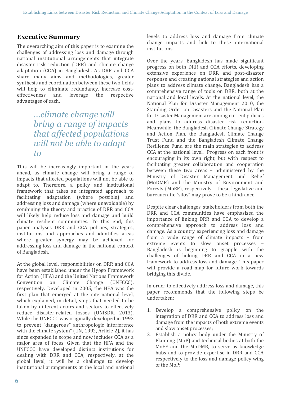## Executive Summary

The overarching aim of this paper is to examine the challenges of addressing loss and damage through national institutional arrangements that integrate disaster risk reduction (DRR) and climate change adaptation (CCA) in Bangladesh. As DRR and CCA share many aims and methodologies, greater synthesis and coordination between these two fields will help to eliminate redundancy, increase costeffectiveness and leverage the respective advantages of each.

# *…climate change will bring a range of impacts that affected populations will not be able to adapt to*

This will be increasingly important in the years ahead, as climate change will bring a range of impacts that affected populations will not be able to adapt to. Therefore, a policy and institutional framework that takes an integrated approach to facilitating adaptation (where possible) and addressing loss and damage (where unavoidable) by combining the theory and practice of DRR and CCA will likely help reduce loss and damage and build climate resilient communities. To this end, this paper analyses DRR and CCA policies, strategies, institutions and approaches and identifies areas where greater synergy may be achieved for addressing loss and damage in the national context of Bangladesh.

At the global level, responsibilities on DRR and CCA have been established under the Hyogo Framework for Action (HFA) and the United Nations Framework Convention on Climate Change (UNFCCC), respectively. Developed in 2005, the HFA was the first plan that emerged at the international level, which explained, in detail, steps that needed to be taken by different actors and sectors to effectively reduce disaster-related losses (UNISDR, 2013). While the UNFCCC was originally developed in 1992 to prevent "dangerous" anthropologic interference with the climate system" (UN, 1992, Article 2), it has since expanded in scope and now includes CCA as a major area of focus. Given that the HFA and the UNFCCC have developed distinct institutions for dealing with DRR and CCA, respectively, at the global level, it will be a challenge to develop institutional arrangements at the local and national levels to address loss and damage from climate change impacts and link to these international institutions.

Over the years, Bangladesh has made significant progress on both DRR and CCA efforts, developing extensive experience on DRR and post-disaster response and creating national strategies and action plans to address climate change. Bangladesh has a comprehensive range of tools on DRR, both at the national and local levels. At the national level, the National Plan for Disaster Management 2010, the Standing Order on Disasters and the National Plan for Disaster Management are among current policies and plans to address disaster risk reduction. Meanwhile, the Bangladesh Climate Change Strategy and Action Plan, the Bangladesh Climate Change Trust Fund and the Bangladesh Climate Change Resilience Fund are the main strategies to address CCA at the national level. Progress on each front is encouraging in its own right, but with respect to facilitating greater collaboration and cooperation between these two areas – administered by the Ministry of Disaster Management and Relief (MoDMR) and the Ministry of Environment and Forests (MoEF), respectively – these legislative and bureaucratic "silos" may prove to be a hindrance.

Despite clear challenges, stakeholders from both the DRR and CCA communities have emphasised the importance of linking DRR and CCA to develop a comprehensive approach to address loss and damage. As a country experiencing loss and damage from a wide range of climate impacts – from extreme events to slow onset processes Bangladesh is beginning to grapple with the challenges of linking DRR and CCA in a new framework to address loss and damage. This paper will provide a road map for future work towards bridging this divide.

In order to effectively address loss and damage, this paper recommends that the following steps be undertaken:

- 1. Develop a comprehensive policy on the integration of DRR and CCA to address loss and damage from the impacts of both extreme events and slow onset processes;
- 2. Establish a policy body under the Ministry of Planning (MoP) and technical bodies at both the MoEF and the MoDMR, to serve as knowledge hubs and to provide expertise in DRR and CCA respectively to the loss and damage policy wing of the MoP;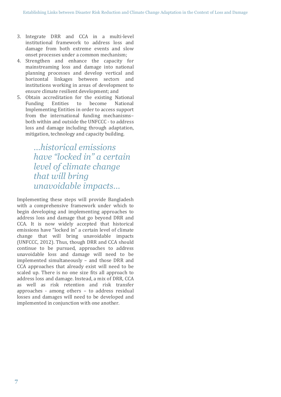- 3. Integrate DRR and CCA in a multi-level institutional framework to address loss and damage from both extreme events and slow onset processes under a common mechanism;
- 4. Strengthen and enhance the capacity for mainstreaming loss and damage into national planning processes and develop vertical and horizontal linkages between sectors and institutions working in areas of development to ensure climate resilient development; and
- 5. Obtain accreditation for the existing National Funding Entities to become National Implementing Entities in order to access support from the international funding mechanisms– both within and outside the UNFCCC - to address loss and damage including through adaptation, mitigation, technology and capacity building.

*…historical emissions have "locked in" a certain level of climate change that will bring unavoidable impacts…*

Implementing these steps will provide Bangladesh with a comprehensive framework under which to begin developing and implementing approaches to address loss and damage that go beyond DRR and CCA. It is now widely accepted that historical emissions have "locked in" a certain level of climate change that will bring unavoidable impacts (UNFCCC, 2012). Thus, though DRR and CCA should continue to be pursued, approaches to address unavoidable loss and damage will need to be implemented simultaneously – and those DRR and CCA approaches that already exist will need to be scaled up. There is no one size fits all approach to address loss and damage. Instead, a mix of DRR, CCA as well as risk retention and risk transfer approaches - among others – to address residual losses and damages will need to be developed and implemented in conjunction with one another.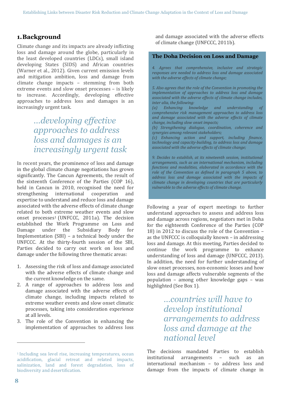## 1.Background

Climate change and its impacts are already inflicting loss and damage around the globe, particularly in the least developed countries (LDCs), small island developing States (SIDS) and African countries (Warner et al., 2012). Given current emission levels and mitigation ambition, loss and damage from climate change impacts – stemming from both extreme events and slow onset processes – is likely to increase. Accordingly, developing effective approaches to address loss and damages is an increasingly urgent task.

# *…developing effective approaches to address loss and damages is an increasingly urgent task*

In recent years, the prominence of loss and damage in the global climate change negotiations has grown significantly. The Cancun Agreements, the result of the sixteenth Conference of the Parties (COP 16), held in Cancun in 2010, recognised the need for strengthening international cooperation and expertise to understand and reduce loss and damage associated with the adverse effects of climate change related to both extreme weather events and slow onset processes<sup>1</sup> (UNFCCC, 2011a). The decision established the Work Programme on Loss and Damage under the Subsidiary Body for Implementation (SBI) – a technical body under the UNFCCC. At the thirty-fourth session of the SBI, Parties decided to carry out work on loss and damage under the following three thematic areas:

- 1. Assessing the risk of loss and damage associated with the adverse effects of climate change and the current knowledge on the same.
- 2. A range of approaches to address loss and damage associated with the adverse effects of climate change, including impacts related to extreme weather events and slow onset climatic processes, taking into consideration experience at all levels.
- 3. The role of the Convention in enhancing the implementation of approaches to address loss

and damage associated with the adverse effects of climate change (UNFCCC, 2011b).

#### The Doha Decision on Loss and Damage

*4. Agrees that comprehensive, inclusive and strategic responses are needed to address loss and damage associated with the adverse effects of climate change;* 

*5. Also agrees that the role of the Convention in promoting the implementation of approaches to address loss and damage associated with the adverse effects of climate change includes, inter alia, the following:* 

*(a) Enhancing knowledge and understanding of comprehensive risk management approaches to address loss and damage associated with the adverse effects of climate change, including slow onset impacts;* 

*(b) Strengthening dialogue, coordination, coherence and synergies among relevant stakeholders;* 

*(c) Enhancing action and support, including finance, technology and capacity-building, to address loss and damage associated with the adverse effects of climate change;*

*9. Decides to establish, at its nineteenth session, institutional arrangements, such as an international mechanism, including functions and modalities, elaborated in accordance with the role of the Convention as defined in paragraph 5 above, to address loss and damage associated with the impacts of climate change in developing countries that are particularly vulnerable to the adverse effects of climate change.*

Following a year of expert meetings to further understand approaches to assess and address loss and damage across regions, negotiators met in Doha for the eighteenth Conference of the Parties (COP 18) in 2012 to discuss the role of the Convention – as the UNFCCC is colloquially known – in addressing loss and damage. At this meeting, Parties decided to continue the work programme to enhance understanding of loss and damage (UNFCCC, 2013). In addition, the need for further understanding of slow onset processes, non-economic losses and how loss and damage affects vulnerable segments of the population – among other knowledge gaps – was highlighted (See Box 1).

> *…countries will have to develop institutional arrangements to address loss and damage at the national level*

The decisions mandated Parties to establish institutional arrangements – such as an international mechanism – to address loss and damage from the impacts of climate change in

.<br>-

<sup>1</sup> Including sea level rise, increasing temperatures, ocean acidification, glacial retreat and related impacts, salinization, land and forest degradation, loss of biodiversity and desertification.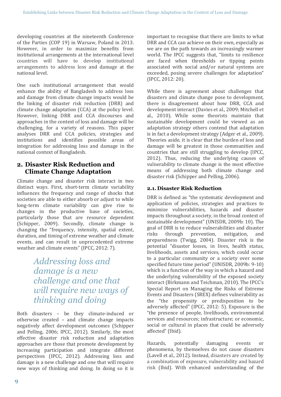developing countries at the nineteenth Conference of the Parties (COP 19) in Warsaw, Poland in 2013. However, in order to maximize benefits from institutional arrangements at the international level countries will have to develop institutional arrangements to address loss and damage at the national level.

One such institutional arrangement that would enhance the ability of Bangladesh to address loss and damage from climate change impacts would be the linking of disaster risk reduction (DRR) and climate change adaptation (CCA) at the policy level. However, linking DRR and CCA discourses and approaches in the context of loss and damage will be challenging, for a variety of reasons. This paper analyses DRR and CCA policies, strategies and institutions and identifies possible areas of integration for addressing loss and damage in the national context of Bangladesh.

### 2. Disaster Risk Reduction and Climate Change Adaptation

Climate change and disaster risk interact in two distinct ways. First, short-term climate variability influences the frequency and range of shocks that societies are able to either absorb or adjust to while long-term climate variability can give rise to changes in the productive base of societies, particularly those that are resource dependent (Schipper, 2009). Secondly, climate change is changing the "frequency, intensity, spatial extent, duration, and timing of extreme weather and climate events, and can result in unprecedented extreme weather and climate events" (IPCC, 2012: 7).

# *Addressing loss and damage is a new challenge and one that will require new ways of thinking and doing*

Both disasters – be they climate-induced or otherwise created – and climate change impacts negatively affect development outcomes (Schipper and Pelling, 2006; IPCC, 2012). Similarly, the most effective disaster risk reduction and adaptation approaches are those that promote development by increasing participation and integrate different perspectives (IPCC, 2012). Addressing loss and damage is a new challenge and one that will require new ways of thinking and doing. In doing so it is

important to recognise that there are limits to what DRR and CCA can achieve on their own, especially as we are on the path towards an increasingly warmer world. The IPCC suggests that, "limits to resilience are faced when thresholds or tipping points associated with social and/or natural systems are exceeded, posing severe challenges for adaptation" (IPCC, 2012: 20).

While there is agreement about challenges that disasters and climate change pose to development, there is disagreement about how DRR, CCA and development interact (Davies et al., 2009; Mitchell et al., 2010). While some theorists maintain that sustainable development could be viewed as an adaptation strategy others contend that adaptation is in fact a development strategy (Adger et al., 2009). Theories aside, it is clear that the burden of loss and damage will be greatest in those communities and countries that are still struggling to develop (IPCC, 2012). Thus, reducing the underlying causes of vulnerability to climate change is the most effective means of addressing both climate change and disaster risk (Schipper and Pelling, 2006).

### 2.1. Disaster Risk Reduction

DRR is defined as "the systematic development and application of policies, strategies and practices to minimize vulnerabilities, hazards and disaster impacts throughout a society, in the broad context of sustainable development" (UNISDR, 2009b: 10). The goal of DRR is to reduce vulnerabilities and disaster risks through prevention, mitigation, and preparedness (Twigg, 2004). Disaster risk is the potential "disaster losses, in lives, health status, livelihoods, assets and services, which could occur to a particular community or a society over some specified future time period" (UNISDR, 2009b: 9-10) which is a function of the way in which a hazard and the underlying vulnerability of the exposed society interact (Birkmann and Teichman, 2010). The IPCC's Special Report on Managing the Risks of Extreme Events and Disasters (SREX) defines vulnerability as the "the propensity or predisposition to be adversely affected" (IPCC, 2012: 5). Exposure is the "the presence of people, livelihoods, environmental services and resources; infrastructure; or economic, social or cultural in places that could be adversely affected" (Ibid).

Hazards, potentially damaging events or phenomena, by themselves do not cause disasters (Lavell et al., 2012). Instead, disasters are created by a combination of exposure, vulnerability and hazard risk (Ibid). With enhanced understanding of the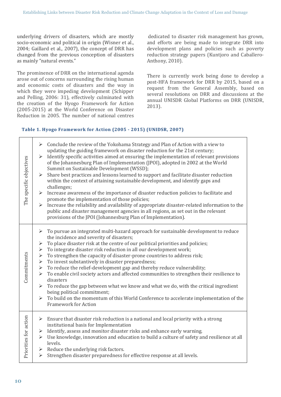underlying drivers of disasters, which are mostly socio-economic and political in origin (Wisner et al., 2004; Gaillard et al., 2007), the concept of DRR has changed from the previous conception of disasters as mainly "natural events."

The prominence of DRR on the international agenda arose out of concerns surrounding the rising human and economic costs of disasters and the way in which they were impeding development (Schipper and Pelling, 2006: 31), effectively culminated with the creation of the Hyogo Framework for Action (2005-2015) at the World Conference on Disaster Reduction in 2005. The number of national centres

dedicated to disaster risk management has grown, and efforts are being made to integrate DRR into development plans and policies such as poverty reduction strategy papers (Kuntjoro and Caballero-Anthony, 2010).

There is currently work being done to develop a post-HFA framework for DRR by 2015, based on a request from the General Assembly, based on several resolutions on DRR and discussions at the annual UNISDR Global Platforms on DRR (UNISDR, 2013).

### Table 1. Hyogo Framework for Action (2005 - 2015) (UNIDSR, 2007)

| The specific objectives | Conclude the review of the Yokohama Strategy and Plan of Action with a view to<br>$\blacktriangleright$<br>updating the guiding framework on disaster reduction for the 21st century;<br>Identify specific activities aimed at ensuring the implementation of relevant provisions<br>$\blacktriangleright$<br>of the Johannesburg Plan of Implementation (JPOI), adopted in 2002 at the World<br>Summit on Sustainable Development (WSSD);<br>Share best practices and lessons learned to support and facilitate disaster reduction<br>➤<br>within the context of attaining sustainable development, and identify gaps and<br>challenges;<br>Increase awareness of the importance of disaster reduction policies to facilitate and<br>$\blacktriangleright$<br>promote the implementation of those policies;<br>Increase the reliability and availability of appropriate disaster-related information to the<br>➤<br>public and disaster management agencies in all regions, as set out in the relevant<br>provisions of the JPOI (Johannesburg Plan of Implementation). |
|-------------------------|--------------------------------------------------------------------------------------------------------------------------------------------------------------------------------------------------------------------------------------------------------------------------------------------------------------------------------------------------------------------------------------------------------------------------------------------------------------------------------------------------------------------------------------------------------------------------------------------------------------------------------------------------------------------------------------------------------------------------------------------------------------------------------------------------------------------------------------------------------------------------------------------------------------------------------------------------------------------------------------------------------------------------------------------------------------------------|
| Commitments             | To pursue an integrated multi-hazard approach for sustainable development to reduce<br>➤<br>the incidence and severity of disasters;<br>To place disaster risk at the centre of our political priorities and policies;<br>➤<br>To integrate disaster risk reduction in all our development work;<br>➤<br>To strengthen the capacity of disaster-prone countries to address risk;<br>$\blacktriangleright$<br>To invest substantively in disaster preparedness;<br>$\blacktriangleright$<br>To reduce the relief-development gap and thereby reduce vulnerability;<br>$\blacktriangleright$<br>To enable civil society actors and affected communities to strengthen their resilience to<br>➤<br>disasters<br>To reduce the gap between what we know and what we do, with the critical ingredient<br>$\blacktriangleright$<br>being political commitment;<br>To build on the momentum of this World Conference to accelerate implementation of the<br>➤<br><b>Framework for Action</b>                                                                                    |
| Priorities for action   | $\triangleright$ Ensure that disaster risk reduction is a national and local priority with a strong<br>institutional basis for Implementation<br>Identify, assess and monitor disaster risks and enhance early warning.<br>➤<br>$\triangleright$ Use knowledge, innovation and education to build a culture of safety and resilience at all<br>levels.<br>Reduce the underlying risk factors.<br>➤<br>Strengthen disaster preparedness for effective response at all levels.<br>➤                                                                                                                                                                                                                                                                                                                                                                                                                                                                                                                                                                                        |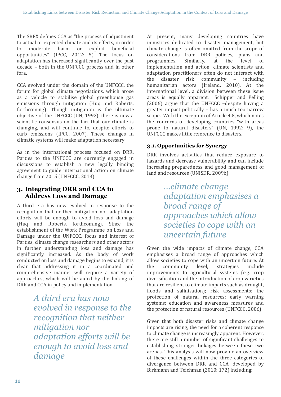The SREX defines CCA as "the process of adjustment to actual or expected climate and its effects, in order to moderate harm or exploit beneficial opportunities" (IPCC, 2012: 5). The focus on adaptation has increased significantly over the past decade – both in the UNFCCC process and in other fora.

CCA evolved under the domain of the UNFCCC, the forum for global climate negotiations, which arose as a vehicle to stabilise global greenhouse gas emissions through mitigation (Huq and Roberts, forthcoming). Though mitigation is the ultimate objective of the UNFCCC (UN, 1992), there is now a scientific consensus on the fact that our climate is changing, and will continue to, despite efforts to curb emissions (IPCC, 2007). These changes in climatic systems will make adaptation necessary.

As in the international process focused on DRR, Parties to the UNFCCC are currently engaged in discussions to establish a new legally binding agreement to guide international action on climate change from 2015 (UNFCCC, 2013).

## 3. Integrating DRR and CCA to Address Loss and Damage

A third era has now evolved in response to the recognition that neither mitigation nor adaptation efforts will be enough to avoid loss and damage (Huq and Roberts, forthcoming). Since the establishment of the Work Programme on Loss and Damage under the UNFCCC, focus and interest of Parties, climate change researchers and other actors in further understanding loss and damage has significantly increased. As the body of work conducted on loss and damage begins to expand, it is clear that addressing it in a coordinated and comprehensive manner will require a variety of approaches, which will be aided by the linking of DRR and CCA in policy and implementation.

> *A third era has now evolved in response to the recognition that neither mitigation nor adaptation efforts will be enough to avoid loss and damage*

At present, many developing countries have ministries dedicated to disaster management, but climate change is often omitted from the scope of considerations from DRR policies, plans and programmes. Similarly, at the level of implementation and action, climate scientists and adaptation practitioners often do not interact with the disaster risk community – including humanitarian actors (Ireland, 2010). At the international level, a division between these issue areas is equally apparent. Schipper and Pelling (2006) argue that the UNFCCC –despite having a greater impact politically – has a much too narrow scope. With the exception of Article 4.8, which notes the concerns of developing countries "with areas prone to natural disasters" (UN, 1992: 9), the UNFCCC makes little reference to disasters.

## 3.1. Opportunities for Synergy

DRR involves activities that reduce exposure to hazards and decrease vulnerability and can include increasing preparedness and good management of land and resources (UNISDR, 2009b).

> *…climate change adaptation emphasises a broad range of approaches which allow societies to cope with an uncertain future*

Given the wide impacts of climate change, CCA emphasises a broad range of approaches which allow societies to cope with an uncertain future. At the community level, strategies include improvements to agricultural systems (e.g. crop diversification and the introduction of crop varieties that are resilient to climate impacts such as drought, floods and salinisation); risk assessments; the protection of natural resources; early warning systems; education and awareness measures and the protection of natural resources (UNFCCC, 2006).

Given that both disaster risks and climate change impacts are rising, the need for a coherent response to climate change is increasingly apparent. However, there are still a number of significant challenges to establishing stronger linkages between these two arenas. This analysis will now provide an overview of these challenges within the three categories of divergence between DRR and CCA, developed by Birkmann and Teichman (2010: 172) including: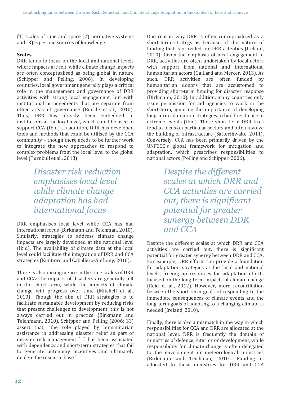(1) scales of time and space (2) normative systems and (3) types and sources of knowledge.

### Scales

DRR tends to focus on the local and national levels where impacts are felt, while climate change impacts are often conceptualised as being global in nature (Schipper and Pelling, 2006). In developing countries, local government generally plays a critical role in the management and governance of DRR activities with strong local engagement, but with institutional arrangements that are separate from other areas of governance (Buckle et al., 2010). Thus, DRR has already been embedded in institutions at the local level, which could be used to support CCA (Ibid). In addition, DRR has developed tools and methods that could be utilised by the CCA community – though there needs to be further work to integrate the new approaches to respond to complex problems from the local level to the global level (Turnbull et al., 2013).

# *Disaster risk reduction emphasises local level while climate change adaptation has had international focus*

DRR emphasises local level while CCA has had international focus (Birkmann and Teichman, 2010). Similarly, strategies to address climate change impacts are largely developed at the national level (Ibid). The availability of climate data at the local level could facilitate the integration of DRR and CCA strategies (Kuntjoro and Caballero-Anthony, 2010).

There is also incongruence in the time scales of DRR and CCA: the impacts of disasters are generally felt in the short term, while the impacts of climate change will progress over time (Mitchell et al., 2010). Though the aim of DRR strategies is to facilitate sustainable development by reducing risks that present challenges to development, this is not always carried out in practice (Birkmann and Teichmann, 2010). Schipper and Pelling (2006: 33) assert that, "the role played by humanitarian assistance in addressing disaster relief as part of disaster risk management […] has been associated with dependency and short-term strategies that fail to generate autonomy incentives and ultimately deplete the resource base."

One reason why DRR is often conceptualised as a short-term strategy is because of the nature of funding that is provided for DRR activities (Ireland, 2010). Given the emphasis of local engagement in DRR, activities are often undertaken by local actors with support from national and international humanitarian actors (Gaillard and Mercer, 2013). As such, DRR activities are often funded by humanitarian donors that are accustomed to providing short-term funding for disaster response (Birkmann, 2010). In addition, many countries only issue permission for aid agencies to work in the short-term, ignoring the importance of developing long-term adaptation strategies to build resilience to extreme events (Ibid). These short-term DRR fixes tend to focus on particular sectors and often involve the building of infrastructure (Satterthwaite, 2011). Conversely, CCA has been primarily driven by the UNFCCC's global framework for mitigation and adaptation, which prescribes responsibilities to national actors (Pelling and Schipper, 2006).

> *Despite the different scales at which DRR and CCA activities are carried out, there is significant potential for greater synergy between DDR and CCA*

Despite the different scales at which DRR and CCA activities are carried out, there is significant potential for greater synergy between DDR and CCA. For example, DRR efforts can provide a foundation for adaptation strategies at the local and national levels, freeing up resources for adaptation efforts focused on the long-term impacts of climate change (Reid et al., 2012). However, more reconciliation between the short-term goals of responding to the immediate consequences of climate events and the long-term goals of adapting to a changing climate is needed (Ireland, 2010).

Finally, there is also a mismatch in the way in which responsibilities for CCA and DRR are allocated at the national level. DRR is frequently the domain of ministries of defence, interior or development, while responsibility for climate change is often delegated to the environment or meteorological ministries (Birkmann and Teichman, 2010). Funding is allocated to these ministries for DRR and CCA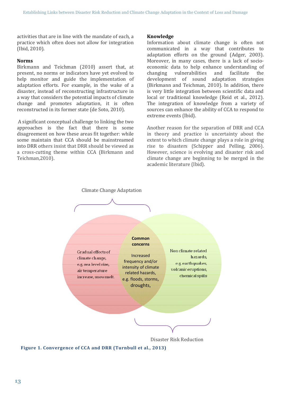activities that are in line with the mandate of each, a practice which often does not allow for integration (Ibid, 2010).

#### Norms

Birkmann and Teichman (2010) assert that, at present, no norms or indicators have yet evolved to help monitor and guide the implementation of adaptation efforts. For example, in the wake of a disaster, instead of reconstructing infrastructure in a way that considers the potential impacts of climate change and promotes adaptation, it is often reconstructed in its former state (de Soto, 2010).

A significant conceptual challenge to linking the two approaches is the fact that there is some disagreement on how these areas fit together: while some maintain that CCA should be mainstreamed into DRR others insist that DRR should be viewed as a cross-cutting theme within CCA (Birkmann and Teichman,2010).

#### Knowledge

Information about climate change is often not communicated in a way that contributes to adaptation efforts on the ground (Adger, 2003). Moreover, in many cases, there is a lack of socioeconomic data to help enhance understanding of changing vulnerabilities and facilitate the development of sound adaptation strategies (Birkmann and Teichman, 2010). In addition, there is very little integration between scientific data and local or traditional knowledge (Reid et al., 2012). The integration of knowledge from a variety of sources can enhance the ability of CCA to respond to extreme events (Ibid).

Another reason for the separation of DRR and CCA in theory and practice is uncertainty about the extent to which climate change plays a role in giving rise to disasters (Schipper and Pelling, 2006). However, science is evolving and disaster risk and climate change are beginning to be merged in the academic literature (Ibid).



Figure 1. Convergence of CCA and DRR (Turnbull et al., 2013)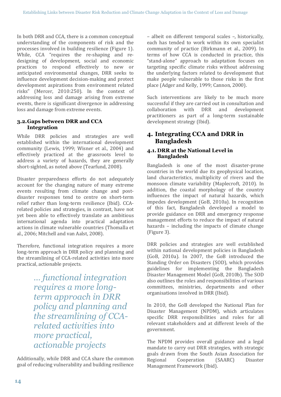In both DRR and CCA, there is a common conceptual understanding of the components of risk and the processes involved in building resilience (Figure 1). While, CCA "requires the re-shaping and redesigning of development, social and economic practices to respond effectively to new or anticipated environmental changes, DRR seeks to influence development decision-making and protect development aspirations from environment related risks" (Mercer, 2010:250). In the context of addressing loss and damage arising from extreme events, there is significant divergence in addressing loss and damage from extreme events.

### 3.2.Gaps between DRR and CCA Integration

While DRR policies and strategies are well established within the international development community (Lewis, 1999; Wisner et al., 2004) and effectively practiced at the grassroots level to address a variety of hazards, they are generally short-sighted, as noted above (Tearfund, 2008).

Disaster preparedness efforts do not adequately account for the changing nature of many extreme events resulting from climate change and postdisaster responses tend to centre on short-term relief rather than long-term resilience (Ibid). CCArelated policies and strategies, in contrast, have not yet been able to effectively translate an ambitious international agenda into practical adaptation actions in climate vulnerable countries (Thomalla et al., 2006; Mitchell and van Aalst, 2008).

Therefore, functional integration requires a more long-term approach in DRR policy and planning and the streamlining of CCA-related activities into more practical, actionable projects.

> *… functional integration requires a more longterm approach in DRR policy and planning and the streamlining of CCArelated activities into more practical, actionable projects*

Additionally, while DRR and CCA share the common goal of reducing vulnerability and building resilience

– albeit on different temporal scales –, historically, each has tended to work within its own specialist community of practice (Birkmann et al., 2009). In terms of how CCA is conducted in practice, this "stand-alone" approach to adaptation focuses on targeting specific climate risks without addressing the underlying factors related to development that make people vulnerable to those risks in the first place (Adger and Kelly, 1999; Cannon, 2000).

Such interventions are likely to be much more successful if they are carried out in consultation and collaboration with DRR and development practitioners as part of a long-term sustainable development strategy (Ibid).

## 4. Integrating CCA and DRR in Bangladesh

#### 4.1. DRR at the National Level in Bangladesh

Bangladesh is one of the most disaster-prone countries in the world due its geophysical location, land characteristics, multiplicity of rivers and the monsoon climate variability (Maplecroft, 2010). In addition, the coastal morphology of the country influences the impact of natural hazards, which impedes development (GoB, 2010a). In recognition of this fact, Bangladesh developed a model to provide guidance on DRR and emergency response management efforts to reduce the impact of natural hazards – including the impacts of climate change (Figure 3).

DRR policies and strategies are well established within national development policies in Bangladesh (GoB, 2010a). In 2007, the GoB introduced the Standing Order on Disasters (SOD), which provides guidelines for implementing the Bangladesh Disaster Management Model (GoB, 2010b). The SOD also outlines the roles and responsibilities of various committees, ministries, departments and other organisations involved in DRR (Ibid).

In 2010, the GoB developed the National Plan for Disaster Management (NPDM), which articulates specific DRR responsibilities and roles for all relevant stakeholders and at different levels of the government.

The NPDM provides overall guidance and a legal mandate to carry out DRR strategies, with strategic goals drawn from the South Asian Association for Regional Cooperation (SAARC) Disaster Management Framework (Ibid).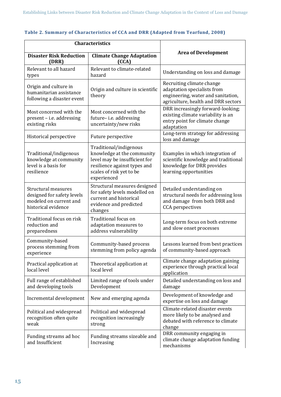| <b>Characteristics</b>                                                                             |                                                                                                                                                                  |                                                                                                                                       |
|----------------------------------------------------------------------------------------------------|------------------------------------------------------------------------------------------------------------------------------------------------------------------|---------------------------------------------------------------------------------------------------------------------------------------|
| <b>Disaster Risk Reduction</b><br>(DRR)                                                            | <b>Climate Change Adaptation</b><br>(CCA)                                                                                                                        | <b>Area of Development</b>                                                                                                            |
| Relevant to all hazard<br>types                                                                    | Relevant to climate-related<br>hazard                                                                                                                            | Understanding on loss and damage                                                                                                      |
| Origin and culture in<br>humanitarian assistance<br>following a disaster event                     | Origin and culture in scientific<br>theory                                                                                                                       | Recruiting climate change<br>adaptation specialists from<br>engineering, water and sanitation,<br>agriculture, health and DRR sectors |
| Most concerned with the<br>present - i.e. addressing<br>existing risks                             | Most concerned with the<br>future-i.e. addressing<br>uncertainty/new risks                                                                                       | DRR increasingly forward-looking;<br>existing climate variability is an<br>entry point for climate change<br>adaptation               |
| Historical perspective                                                                             | Future perspective                                                                                                                                               | Long-term strategy for addressing<br>loss and damage                                                                                  |
| Traditional/indigenous<br>knowledge at community<br>level is a basis for<br>resilience             | Traditional/indigenous<br>knowledge at the community<br>level may be insufficient for<br>resilience against types and<br>scales of risk yet to be<br>experienced | Examples in which integration of<br>scientific knowledge and traditional<br>knowledge for DRR provides<br>learning opportunities      |
| Structural measures<br>designed for safety levels<br>modeled on current and<br>historical evidence | Structural measures designed<br>for safety levels modelled on<br>current and historical<br>evidence and predicted<br>changes                                     | Detailed understanding on<br>structural needs for addressing loss<br>and damage from both DRR and<br><b>CCA</b> perspectives          |
| Traditional focus on risk<br>reduction and<br>preparedness                                         | Traditional focus on<br>adaptation measures to<br>address vulnerability                                                                                          | Long-term focus on both extreme<br>and slow onset processes                                                                           |
| Community-based<br>process stemming from<br>experience                                             | Community-based process<br>stemming from policy agenda                                                                                                           | Lessons learned from best practices<br>of community-based approach                                                                    |
| Practical application at<br>local level                                                            | Theoretical application at<br>local level                                                                                                                        | Climate change adaptation gaining<br>experience through practical local<br>application                                                |
| Full range of established<br>and developing tools                                                  | Limited range of tools under<br>Development                                                                                                                      | Detailed understanding on loss and<br>damage                                                                                          |
| Incremental development                                                                            | New and emerging agenda                                                                                                                                          | Development of knowledge and<br>expertise on loss and damage                                                                          |
| Political and widespread<br>recognition often quite<br>weak                                        | Political and widespread<br>recognition increasingly<br>strong                                                                                                   | Climate-related disaster events<br>more likely to be analysed and<br>debated with reference to climate<br>change                      |
| Funding streams ad hoc<br>and Insufficient                                                         | Funding streams sizeable and<br>Increasing                                                                                                                       | DRR community engaging in<br>climate change adaptation funding<br>mechanisms                                                          |

### Table 2. Summary of Characteristics of CCA and DRR (Adapted from Tearfund, 2008)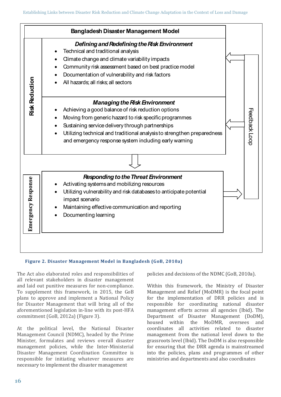

#### Figure 2. Disaster Management Model in Bangladesh (GoB, 2010a)

The Act also elaborated roles and responsibilities of all relevant stakeholders in disaster management and laid out punitive measures for non-compliance. To supplement this framework, in 2015, the GoB plans to approve and implement a National Policy for Disaster Management that will bring all of the aforementioned legislation in-line with its post-HFA commitment (GoB, 2012a) (Figure 3).

At the political level, the National Disaster Management Council (NDMC), headed by the Prime Minister, formulates and reviews overall disaster management policies, while the Inter-Ministerial Disaster Management Coordination Committee is responsible for initiating whatever measures are necessary to implement the disaster management

policies and decisions of the NDMC (GoB, 2010a).

Within this framework, the Ministry of Disaster Management and Relief (MoDMR) is the focal point for the implementation of DRR policies and is responsible for coordinating national disaster management efforts across all agencies (Ibid). The Department of Disaster Management (DoDM), housed within the MoDMR, oversees and coordinates all activities related to disaster management from the national level down to the grassroots level (Ibid). The DoDM is also responsible for ensuring that the DRR agenda is mainstreamed into the policies, plans and programmes of other ministries and departments and also coordinates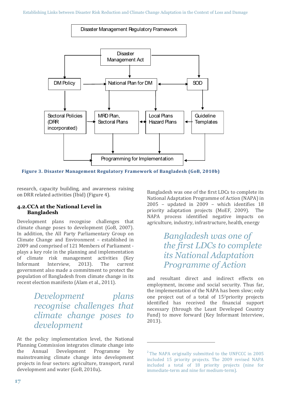

Figure 3. Disaster Management Regulatory Framework of Bangladesh (GoB, 2010b)

1

research, capacity building, and awareness raising on DRR related activities (Ibid) (Figure 4).

#### 4.2.CCA at the National Level in Bangladesh

Development plans recognise challenges that climate change poses to development (GoB, 2007). In addition, the All Party Parliamentary Group on Climate Change and Environment – established in 2009 and comprised of 121 Members of Parliament plays a key role in the planning and implementation of climate risk management activities (Key Informant Interview, 2013). The current government also made a commitment to protect the population of Bangladesh from climate change in its recent election manifesto (Alam et al., 2011).

# *Development plans recognise challenges that climate change poses to development*

At the policy implementation level, the National Planning Commission integrates climate change into the Annual Development Programme by mainstreaming climate change into development projects in four sectors: agriculture, transport, rural development and water (GoB, 2010a).

Bangladesh was one of the first LDCs to complete its National Adaptation Programme of Action (NAPA) in 2005 – updated in 2009 – which identifies 18 priority adaptation projects (MoEF, 2009). The NAPA process identified negative impacts on agriculture, industry, infrastructure, health, energy

> *Bangladesh was one of the first LDCs to complete its National Adaptation Programme of Action*

and resultant direct and indirect effects on employment, income and social security. Thus far, the implementation of the NAPA has been slow; only one project out of a total of 152priority projects identified has received the financial support necessary (through the Least Developed Country Fund) to move forward (Key Informant Interview, 2013).

<sup>2</sup> The NAPA originally submitted to the UNFCCC in 2005 included 15 priority projects. The 2009 revised NAPA included a total of 18 priority projects (nine for immediate-term and nine for medium-term).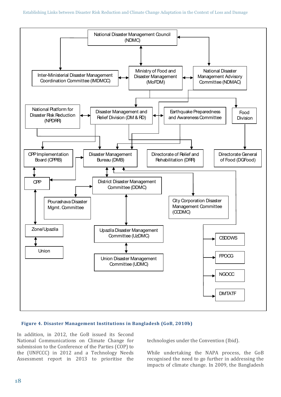

#### Figure 4. Disaster Management Institutions in Bangladesh (GoB, 2010b)

In addition, in 2012, the GoB issued its Second National Communications on Climate Change for submission to the Conference of the Parties (COP) to the (UNFCCC) in 2012 and a Technology Needs Assessment report in 2013 to prioritise the

technologies under the Convention (Ibid).

While undertaking the NAPA process, the GoB recognised the need to go further in addressing the impacts of climate change. In 2009, the Bangladesh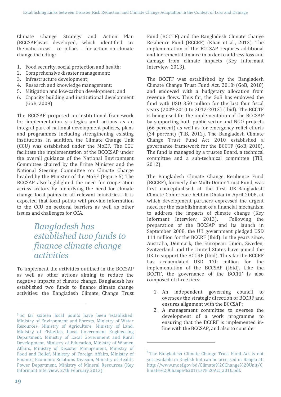Climate Change Strategy and Action Plan (BCCSAP)was developed, which identified six thematic areas – or pillars – for action on climate change including:

- 1. Food security, social protection and health;
- 2. Comprehensive disaster management;
- 3. Infrastructure development;
- 4. Research and knowledge management;
- 5. Mitigation and low-carbon development; and
- 6. Capacity building and institutional development (GoB, 2009)

The BCCSAP proposed an institutional framework for implementation strategies and actions as an integral part of national development policies, plans and programmes including strengthening existing institutions. In addition, the Climate Change Unit (CCU) was established under the MoEF. The CCU facilitate the implementation of the BCCCSAP under the overall guidance of the National Environment Committee chaired by the Prime Minister and the National Steering Committee on Climate Change headed by the Minister of the MoEF (Figure 5) The BCCSAP also highlighted the need for cooperation across sectors by identifying the need for climate change focal points in all relevant ministries3. It is expected that focal points will provide information to the CCU on sectoral barriers as well as other issues and challenges for CCA.

# *Bangladesh has established two funds to finance climate change activities*

To implement the activities outlined in the BCCSAP as well as other actions aiming to reduce the negative impacts of climate change, Bangladesh has established two funds to finance climate change activities: the Bangladesh Climate Change Trust Fund (BCCTF) and the Bangladesh Climate Change Resilience Fund (BCCRF) (Khan et al., 2012). The implementation of the BCCSAP requires additional and incremental finance in order to address loss and damage from climate impacts (Key Informant Interview, 2013).

The BCCTF was established by the Bangladesh Climate Change Trust Fund Act, 20104 (GoB, 2010) and endowed with a budgetary allocation from revenue flows. Thus far, the GoB has endowed the fund with USD 350 million for the last four fiscal years (2009-2010 to 2012-2013) (Ibid). The BCCTF is being used for the implementation of the BCCSAP by supporting both public sector and NGO projects (66 percent) as well as for emergency relief efforts (34 percent) (TIB, 2012). The Bangladesh Climate Change Trust Fund Act 2010 established a governance framework for the BCCTF (GoB, 2010). The fund is managed by a trustee Board, a technical committee and a sub-technical committee (TIB, 2012).

The Bangladesh Climate Change Resilience Fund (BCCRF), formerly the Multi-Donor Trust Fund, was first conceptualised at the first UK-Bangladesh Climate Conference held in Dhaka in April 2008, at which development partners expressed the urgent need for the establishment of a financial mechanism to address the impacts of climate change (Key Informant Interview, 2013). Following the preparation of the BCCSAP and its launch in September 2008, the UK government pledged USD 114 million for the BCCRF (Ibid). In the years since, Australia, Denmark, the European Union, Sweden, Switzerland and the United States have joined the UK to support the BCCRF (Ibid). Thus far the BCCRF has accumulated USD 170 million for the implementation of the BCCSAP (Ibid). Like the BCCTF, the governance of the BCCRF is also composed of three tiers:

- 1. An independent governing council to oversees the strategic direction of BCCRF and ensures alignment with the BCCSAP;
- 2. A management committee to oversee the development of a work programme to ensuring that the BCCRF is implemented inline with the BCCSAP, and also to consider

1

.<br>-

<sup>3</sup> So far sixteen focal points have been established: Ministry of Environment and Forests, Ministry of Water Resources, Ministry of Agriculture, Ministry of Land, Ministry of Fisheries, Local Government Engineering Department, Ministry of Local Government and Rural Development, Ministry of Education, Ministry of Women Affairs, Ministry of Disaster Management, Ministry of Food and Relief, Ministry of Foreign Affairs, Ministry of Finance, Economic Relations Division, Ministry of Health, Power Department, Ministry of Mineral Resources (Key Informant Interview, 27th February 2013).

<sup>&</sup>lt;sup>4</sup> The Bangladesh Climate Change Trust Fund Act is not yet available in English but can be accessed in Bangla at: http://www.moef.gov.bd/Climate%20Change%20Unit/C limate%20Change%20Trust%20Act\_2010.pdf.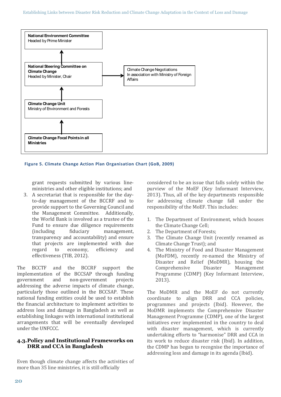

Figure 5. Climate Change Action Plan Organisation Chart (GoB, 2009)

grant requests submitted by various lineministries and other eligible institutions; and

3. A secretariat that is responsible for the dayto-day management of the BCCRF and to provide support to the Governing Council and the Management Committee. Additionally, the World Bank is involved as a trustee of the Fund to ensure due diligence requirements (including fiduciary management, transparency and accountability) and ensure that projects are implemented with due regard to economy, efficiency and effectiveness (TIB, 2012).

The BCCTF and the BCCRF support the implementation of the BCCSAP through funding government and non-government projects addressing the adverse impacts of climate change, particularly those outlined in the BCCSAP. These national funding entities could be used to establish the financial architecture to implement activities to address loss and damage in Bangladesh as well as establishing linkages with international institutional arrangements that will be eventually developed under the UNFCCC.

#### 4.3.Policy and Institutional Frameworks on DRR and CCA in Bangladesh

Even though climate change affects the activities of more than 35 line ministries, it is still officially

considered to be an issue that falls solely within the purview of the MoEF (Key Informant Interview, 2013). Thus, all of the key departments responsible for addressing climate change fall under the responsibility of the MoEF. This includes:

- 1. The Department of Environment, which houses the Climate Change Cell;
- 2. The Department of Forests;
- 3. The Climate Change Unit (recently renamed as Climate Change Trust); and
- 4. The Ministry of Food and Disaster Management (MoFDM), recently re-named the Ministry of Disaster and Relief (MoDMR), housing the Comprehensive Disaster Management Programme (CDMP) (Key Informant Interview, 2013).

The MoDMR and the MoEF do not currently coordinate to align DRR and CCA policies, programmes and projects (Ibid). However, the MoDMR implements the Comprehensive Disaster Management Programme (CDMP), one of the largest initiatives ever implemented in the country to deal with disaster management, which is currently undertaking efforts to "harmonise" DRR and CCA in its work to reduce disaster risk (Ibid). In addition, the CDMP has begun to recognise the importance of addressing loss and damage in its agenda (Ibid).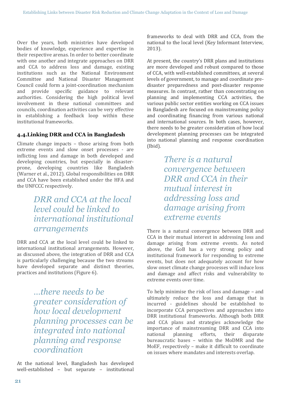Over the years, both ministries have developed bodies of knowledge, experience and expertise in their respective arenas. In order to better coordinate with one another and integrate approaches on DRR and CCA to address loss and damage, existing institutions such as the National Environment Committee and National Disaster Management Council could form a joint-coordination mechanism and provide specific guidance to relevant authorities. Considering the high political level involvement in these national committees and councils, coordination activities can be very effective in establishing a feedback loop within these institutional frameworks.

### 4.4.Linking DRR and CCA in Bangladesh

Climate change impacts – those arising from both extreme events and slow onset processes - are inflicting loss and damage in both developed and developing countries, but especially in disasterprone, developing countries like Bangladesh (Warner et al., 2012). Global responsibilities on DRR and CCA have been established under the HFA and the UNFCCC respectively.

# *DRR and CCA at the local level could be linked to international institutional arrangements*

DRR and CCA at the local level could be linked to international institutional arrangements. However, as discussed above, the integration of DRR and CCA is particularly challenging because the two streams have developed separate and distinct theories, practices and institutions (Figure 6).

> *…there needs to be greater consideration of how local development planning processes can be integrated into national planning and response coordination*

At the national level, Bangladesh has developed well-established – but separate – institutional frameworks to deal with DRR and CCA, from the national to the local level (Key Informant Interview, 2013).

At present, the country's DRR plans and institutions are more developed and robust compared to those of CCA, with well-established committees, at several levels of government, to manage and coordinate predisaster preparedness and post-disaster response measures. In contrast, rather than concentrating on planning and implementing CCA activities, the various public sector entities working on CCA issues in Bangladesh are focused on mainstreaming policy and coordinating financing from various national and international sources. In both cases, however, there needs to be greater consideration of how local development planning processes can be integrated into national planning and response coordination (Ibid).

> *There is a natural convergence between DRR and CCA in their mutual interest in addressing loss and damage arising from extreme events*

There is a natural convergence between DRR and CCA in their mutual interest in addressing loss and damage arising from extreme events. As noted above, the GoB has a very strong policy and institutional framework for responding to extreme events, but does not adequately account for how slow onset climate change processes will induce loss and damage and affect risks and vulnerability to extreme events over time.

To help minimise the risk of loss and damage – and ultimately reduce the loss and damage that is incurred - guidelines should be established to incorporate CCA perspectives and approaches into DRR institutional frameworks. Although both DRR and CCA plans and strategies acknowledge the importance of mainstreaming DRR and CCA into national planning efforts, their disparate bureaucratic bases – within the MoDMR and the MoEF, respectively – make it difficult to coordinate on issues where mandates and interests overlap.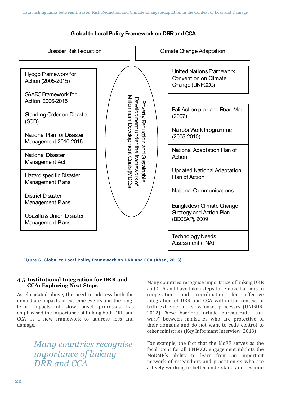

### Global to Local Policy Framework on DRR and CCA

Figure 6. Global to Local Policy Framework on DRR and CCA (Khan, 2013)

#### 4.5.Institutional Integration for DRR and CCA: Exploring Next Steps

As elucidated above, the need to address both the immediate impacts of extreme events and the longterm impacts of slow onset processes has emphasised the importance of linking both DRR and CCA in a new framework to address loss and damage.

> *Many countries recognise importance of linking DRR and CCA*

Many countries recognise importance of linking DRR and CCA and have taken steps to remove barriers to cooperation and coordination for effective integration of DRR and CCA within the context of both extreme and slow onset processes (UNISDR, 2012). These barriers include bureaucratic "turf wars" between ministries who are protective of their domains and do not want to cede control to other ministries (Key Informant Interview, 2013).

For example, the fact that the MoEF serves as the focal point for all UNFCCC engagement inhibits the MoDMR's ability to learn from an important network of researchers and practitioners who are actively working to better understand and respond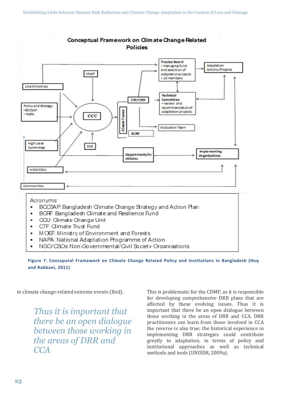

Figure 7. Conceputal Framework on Climate Change Related Policy and Institutions in Bangladesh (Huq and Rabbani, 2011)

to climate change-related extreme events (Ibid).

*Thus it is important that there be an open dialogue between those working in the areas of DRR and CCA*

This is problematic for the CDMP, as it is responsible for developing comprehensive DRR plans that are affected by these evolving issues. Thus it is important that there be an open dialogue between those working in the areas of DRR and CCA. DRR practitioners can learn from those involved in CCA the reverse is also true; the historical experience in implementing DRR strategies could contribute greatly to adaptation, in terms of policy and institutional approaches as well as technical methods and tools (UNISDR, 2009a).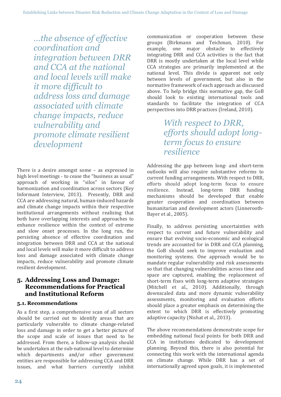*…the absence of effective coordination and integration between DRR and CCA at the national and local levels will make it more difficult to address loss and damage associated with climate change impacts, reduce vulnerability and promote climate resilient development*

There is a desire amongst some – as expressed in high level meetings - to cease the "business as usual" approach of working in "silos" in favour of harmonization and coordination across sectors (Key Informant Interview, 2013). Presently, DRR and CCA are addressing natural, human-induced hazards and climate change impacts within their respective institutional arrangements without realising that both have overlapping interests and approaches to enhance resilience within the context of extreme and slow onset processes. In the long run, the persisting absence of effective coordination and integration between DRR and CCA at the national and local levels will make it more difficult to address loss and damage associated with climate change impacts, reduce vulnerability and promote climate resilient development.

### 5. Addressing Loss and Damage: Recommendations for Practical and Institutional Reform

### 5.1. Recommendations

As a first step, a comprehensive scan of all sectors should be carried out to identify areas that are particularly vulnerable to climate change-related loss and damage in order to get a better picture of the scope and scale of issues that need to be addressed. From there, a follow-up analysis should be undertaken at the sub-national level to determine which departments and/or other government entities are responsible for addressing CCA and DRR issues, and what barriers currently inhibit communication or cooperation between these groups (Birkmann and Teichman, 2010). For example, one major obstacle to effectively integrating DRR and CCA activities is the fact that DRR is mostly undertaken at the local level while CCA strategies are primarily implemented at the national level. This divide is apparent not only between levels of government, but also in the normative framework of each approach as discussed above. To help bridge this normative gap, the GoB should look to existing international tools and standards to facilitate the integration of CCA perspectives into DRR practices (Ireland, 2010).

# *With respect to DRR, efforts should adopt longterm focus to ensure resilience*

Addressing the gap between long- and short-term outlooks will also require substantive reforms to current funding arrangements. With respect to DRR, efforts should adopt long-term focus to ensure resilience. Instead, long-term DRR funding mechanisms should be developed that enable greater cooperation and coordination between humanitarian and development actors (Linnerooth-Bayer et al., 2005).

Finally, to address persisting uncertainties with respect to current and future vulnerability and ensure that evolving socio-economic and ecological trends are accounted for in DRR and CCA planning, the GoB should seek to improve evaluation and monitoring systems. One approach would be to mandate regular vulnerability and risk assessments so that that changing vulnerabilities across time and space are captured, enabling the replacement of short-term fixes with long-term adaptive strategies (Mitchell et al., 2010). Additionally, through downscaled data and more dynamic vulnerability assessments, monitoring and evaluation efforts should place a greater emphasis on determining the extent to which DRR is effectively promoting adaptive capacity (Nishat et al., 2013).

The above recommendations demonstrate scope for embedding national focal points for both DRR and CCA in institutions dedicated to development planning. Beyond this, there is also potential for connecting this work with the international agenda on climate change. While DRR has a set of internationally agreed upon goals, it is implemented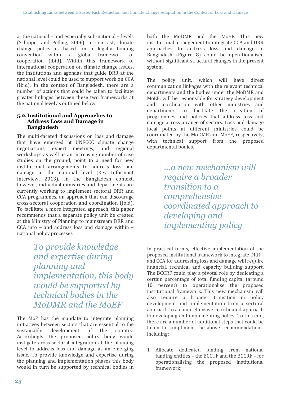at the national – and especially sub-national – levels (Schipper and Pelling, 2006). In contrast, climate change policy is based on a legally binding convention within a global framework of cooperation (Ibid). Within this framework of international cooperation on climate change issues, the institutions and agendas that guide DRR at the national level could be used to support work on CCA (Ibid). In the context of Bangladesh, there are a number of actions that could be taken to facilitate greater linkages between these two frameworks at the national level as outlined below.

#### 5.2.Institutional and Approaches to Address Loss and Damage in Bangladesh

The multi-faceted discussions on loss and damage that have emerged at UNFCCC climate change negotiations, expert meetings, and regional workshops as well as an increasing number of case studies on the ground, point to a need for new institutional arrangements to address loss and damage at the national level (Key Informant Interview, 2013). In the Bangladesh context, however, individual ministries and departments are currently working to implement sectoral DRR and CCA programmes, an approach that can discourage cross-sectoral cooperation and coordination (Ibid). To facilitate a more integrated approach, this paper recommends that a separate policy unit be created at the Ministry of Planning to mainstream DRR and CCA into – and address loss and damage within – national policy processes.

> *To provide knowledge and expertise during planning and implementation, this body would be supported by technical bodies in the MoDMR and the MoEF*

The MoP has the mandate to integrate planning initiatives between sectors that are essential to the sustainable development of the country. Accordingly, the proposed policy body would instigate cross-sectoral integration at the planning level to address loss and damage as an emerging issue. To provide knowledge and expertise during the planning and implementation phases this body would in turn be supported by technical bodies in both the MoDMR and the MoEF. This new institutional arrangement to integrate CCA and DRR approaches to address loss and damage in Bangladesh (Figure 8) could be operationalised without significant structural changes in the present system.

The policy unit, which will have direct communication linkages with the relevant technical departments and the bodies under the MoDMR and MoEF, will be responsible for strategy development and coordination with other ministries and departments to facilitate the creation of programmes and policies that address loss and damage across a range of sectors. Loss and damage focal points at different ministries could be coordinated by the MoDMR and MoEF, respectively, with technical support from the proposed departmental bodies.

> *…a new mechanism will require a broader transition to a comprehensive coordinated approach to developing and implementing policy*

In practical terms, effective implementation of the proposed institutional framework to integrate DRR and CCA for addressing loss and damage will require financial, technical and capacity building support. The BCCRF could play a pivotal role by dedicating a certain percentage of total funding capital (around 10 percent) to operationalise the proposed institutional framework. This new mechanism will also require a broader transition in policy development and implementation from a sectoral approach to a comprehensive coordinated approach to developing and implementing policy. To this end, there are a number of additional steps that could be taken to compliment the above recommendations, including:

1. Allocate dedicated funding from national funding entities – the BCCTF and the BCCRF – for operationalising the proposed institutional framework;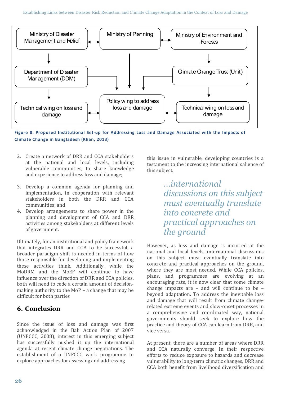

Figure 8. Proposed Institutional Set-up for Addressing Loss and Damage Associated with the Impacts of Climate Change in Bangladesh (Khan, 2013)

- 2. Create a network of DRR and CCA stakeholders at the national and local levels, including vulnerable communities, to share knowledge and experience to address loss and damage;
- 3. Develop a common agenda for planning and implementation, in cooperation with relevant stakeholders in both the DRR and CCA communities; and
- 4. Develop arrangements to share power in the planning and development of CCA and DRR activities among stakeholders at different levels of government.

Ultimately, for an institutional and policy framework that integrates DRR and CCA to be successful, a broader paradigm shift is needed in terms of how those responsible for developing and implementing these activities think. Additionally, while the MoDRM and the MoEF will continue to have influence over the direction of DRR and CCA policies, both will need to cede a certain amount of decisionmaking authority to the MoP – a change that may be difficult for both parties

## 6. Conclusion

Since the issue of loss and damage was first acknowledged in the Bali Action Plan of 2007 (UNFCCC, 2008), interest in this emerging subject has successfully pushed it up the international agenda at recent climate change negotiations. The establishment of a UNFCCC work programme to explore approaches for assessing and addressing

this issue in vulnerable, developing countries is a testament to the increasing international salience of this subject.

> *…international discussions on this subject must eventually translate into concrete and practical approaches on the ground*

However, as loss and damage is incurred at the national and local levels, international discussions on this subject must eventually translate into concrete and practical approaches on the ground, where they are most needed. While CCA policies, plans, and programmes are evolving at an encouraging rate, it is now clear that some climate change impacts are – and will continue to be – beyond adaptation. To address the inevitable loss and damage that will result from climate changerelated extreme events and slow-onset processes in a comprehensive and coordinated way, national governments should seek to explore how the practice and theory of CCA can learn from DRR, and vice versa.

At present, there are a number of areas where DRR and CCA naturally converge. In their respective efforts to reduce exposure to hazards and decrease vulnerability to long-term climatic changes, DRR and CCA both benefit from livelihood diversification and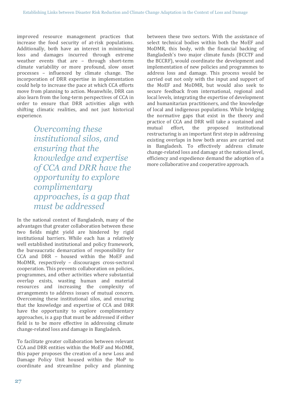improved resource management practices that increase the food security of at-risk populations. Additionally, both have an interest in minimising loss and damages incurred through extreme weather events that are – through short-term climate variability or more profound, slow onset processes – influenced by climate change. The incorporation of DRR expertise in implementation could help to increase the pace at which CCA efforts move from planning to action. Meanwhile, DRR can also learn from the long-term perspectives of CCA in order to ensure that DRR activities align with shifting climatic realities, and not just historical experience.

> *Overcoming these institutional silos, and ensuring that the knowledge and expertise of CCA and DRR have the opportunity to explore complimentary approaches, is a gap that must be addressed*

In the national context of Bangladesh, many of the advantages that greater collaboration between these two fields might yield are hindered by rigid institutional barriers. While each has a relatively well established institutional and policy framework, the bureaucratic demarcation of responsibility for CCA and DRR – housed within the MoEF and MoDMR, respectively – discourages cross-sectoral cooperation. This prevents collaboration on policies, programmes, and other activities where substantial overlap exists, wasting human and material resources and increasing the complexity arrangements to address issues of mutual concern. Overcoming these institutional silos, and ensuring that the knowledge and expertise of CCA and DRR have the opportunity to explore complimentary approaches, is a gap that must be addressed if either field is to be more effective in addressing climate change-related loss and damage in Bangladesh.

To facilitate greater collaboration between relevant CCA and DRR entities within the MoEF and MoDMR, this paper proposes the creation of a new Loss and Damage Policy Unit housed within the MoP to coordinate and streamline policy and planning between these two sectors. With the assistance of select technical bodies within both the MoEF and MoDMR, this body, with the financial backing of Bangladesh's two major climate funds (BCCTF and the BCCRF), would coordinate the development and implementation of new policies and programmes to address loss and damage. This process would be carried out not only with the input and support of the MoEF and MoDMR, but would also seek to secure feedback from international, regional and local levels, integrating the expertise of development and humanitarian practitioners, and the knowledge of local and indigenous populations. While bridging the normative gaps that exist in the theory and practice of CCA and DRR will take a sustained and mutual effort, the proposed institutional restructuring is an important first step in addressing existing overlaps in how both areas are carried out in Bangladesh. To effectively address climate change-related loss and damage at the national level, efficiency and expedience demand the adoption of a more collaborative and cooperative approach.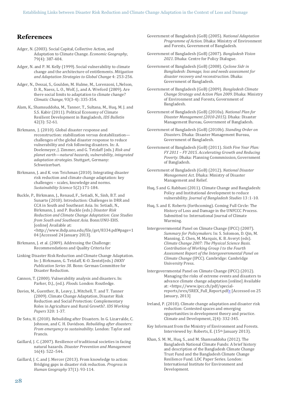## References

- Adger, N. (2003). Social Capital, Collective Action, and Adaptation to Climate Change. *Economic Geography*, 79(4): 387-404.
- Adger, N. and P. M. Kelly (1999). Social vulnerability to climate change and the architecture of entitlements. *Mitigation and Adaptation Strategies to Global Change* 4: 253-256.
- Adger, N., Dessai, S., Goulden, M. Hulme, M., Lorenzoni, I.,Nelson, D. R., Naess, L. O., Wolf, J., and A. Wreford (2009). Are there social limits to adaptation to climate change? *Climatic Change*, 93(3-4): 335-354.
- Alam, K., Shamsuddoha, M., Tanner, T., Sultana, M., Huq, M. J. and S.S. Kabir (2011). Political Economy of Climate Resilient Development in Bangladesh, *IDS Bulletin*  42(3): 52-61.
- Birkmann, J. (2010). Global disaster response and reconstruction: stabilization versus destabilization challenges of the global disaster response to reduce vulnerability and risk following disasters. In: A. Doelemeyer, J. Zimmer, and G. Tetzlaff (eds.) *Risk and planet earth—natural hazards, vulnerability, integrated adaptation strategies*. Stuttgart, Germany: Schweizerbart.
- Birkmann, J. and K. von Teichman (2010). Integrating disaster risk reduction and climate change adaptation: key challenges – scales, knowledge and norms. *Sustainability Science* 5(2):171-184.
- Buckle, P., Birkmann, J., Renaud, F., Setiadi, N., Sinh, B.T. and Sunarto (2010). Introduction: Challenges in DRR and CCA in South and Southeast Asia. In: Setiadi, N., Birkmann, J. and P. Buckle (eds.) *Disaster Risk Reduction and Climate Change Adaptation: Case Studies from South and Southeast Asia*. Bonn:UNU-EHS. [online] Available at: <http://www.ihdp.unu.edu/file/get/8334.pdf#page=1 04 [Accessed 24 January 2013].
- Birkmann, J. et al. (2009). Addressing the Challenge: Recommendations and Quality Criteria for
- Linking Disaster Risk Reduction and Climate Change Adaptation. In: J. Birkmann, G. Tetzlaff, K-O. Zentel(eds.) *DKKV Publication Series 38*. Bonn: German Committee for Disaster Reduction.
- Cannon, T. (2000). Vulnerability analysis and disasters. In: Parker, D.J., (ed.). *Floods.* London: Routledge.
- Davies, M., Guenther, B., Leavy, J., Mitchell, T. and T. Tanner (2009). Climate Change Adaptation, Disaster Risk Reduction and Social Protection: Complementary Roles in Agriculture and Rural Growth?. *IDS Working Papers* 320: 1-37.
- De Soto, H. (2010). Rebuilding after Disasters. In G. Lizarralde, C. Johnson, and C. H. Davidson. *Rebuilding after disasters: From emergency to sustainability*. London: Taylor and Francis.
- Gaillard, J. C. (2007). Resilience of traditional societies in facing natural hazards. *Disaster Prevention and Management* 16(4): 522–544.
- Gaillard, J. C. and J. Mercer (2013). From knowledge to action: Bridging gaps in disaster risk reduction. *Progress in Human Geography* 37(1): 93-114.
- Government of Bangladesh (GoB) (2005). *National Adaptation Programme of Action.* Dhaka: Ministry of Environment and Forests, Government of Bangladesh.
- Government of Bangladesh (GoB) (2007). *Bangladesh Vision 2021*. Dhaka: Centre for Policy Dialogue.
- Government of Bangladesh (GoB) (2008). *Cyclone Sidr in Bangladesh: Damage, loss and needs assessment for disaster recovery and reconstruction*. Dhaka: Government of Bangladesh.
- Government of Bangladesh (GoB) (2009). *Bangladesh Climate Change Strategy and Action Plan 2009*. Dhaka: Ministry of Environment and Forests, Government of Bangladesh.
- Government of Bangladesh (GoB) (2010a). *National Plan for Disaster Management (2010-2015).* Dhaka: Disaster Management Bureau, Government of Bangladesh.
- Government of Bangladesh (GoB) (2010b). *Standing Order on Disasters*. Dhaka: Disaster Management Bureau, Government of Bangladesh.
- Government of Bangladesh (GoB) (2011). *Sixth Five Year Plan: FY 2011 – FY 2015. Accelerating Growth and Reducing Poverty*. Dhaka: Planning Commmission, Government of Bangladesh.
- Government of Bangladesh (GoB) (2012). *National Disaster Management Act*. Dhaka: Ministry of Disaster Management and Relief.
- Huq, S and G. Rabbani (2011). Climate Change and Bangladesh: Policy and Institutional development to reduce vulnerability. *Journal of Bangladesh Studies* 13 :1-10.
- Huq, S. and E. Roberts (forthcoming). Coming Full Circle: The History of Loss and Damage in the UNFCCC Process. Submitted to: International Journal of Climate Warming.
- Intergovernmental Panel on Climate Change (IPCC) (2007). *Summary for Policymakers.* In: S. Solomon, D. Qin, M. Manning, Z. Chen, M. Marquis, K. B. Averyt (eds). *Climate Change 2007: The Physical Science Basis. Contribution of Working Group I to the Fourth Assessment Report of the Intergovernmental Panel on Climate Change* (IPCC)*.* Cambridge: Cambridge University Press.
- Intergovernmental Panel on Climate Change (IPCC) (2012). Managing the risks of extreme events and disasters to advance climate change adaptation [online] Available at: <https://www.ipcc.ch/pdf/specialreports/srex/SREX\_Full\_Report.pdf> [Accessed on 25 January, 2013]
- Ireland, P. (2010). Climate change adaptation and disaster risk reduction: Contested spaces and emerging opportunities in development theory and practice. Climate and Development, 2(4): 332-345.
- Key Informant from the Ministry of Environment and Forests. Interviewed by: Roberts, E. (15th January 2013).
- Khan, S. M. M., Huq, S., and M. Shamsuddoha (2012). The Bangladesh National Climate Funds: A brief history and description of the Bangladesh Climate Change Trust Fund and the Bangladesh Climate Change Resilience Fund. LDC Paper Series. London: International Institute for Environment and Development.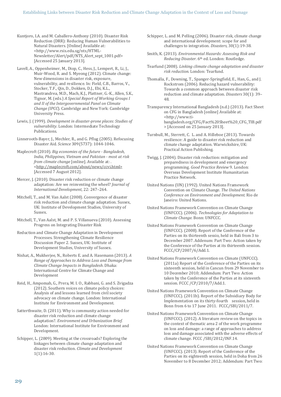- Kuntjoro, I.A. and M. Caballero-Anthony (2010). Disaster Risk Reduction (DRR): Reducing Human Vulnerabilities to Natural Disasters. [Online] Available at: <http://www.rsis.edu.sg/nts/HTML-Newsletter/Alert/pdf/NTS\_Alert\_sept\_1001.pdf> [Accessed 25 January 2013].
- Lavell, A., Oppenheimer, M., Diop, C., Hess, J., Lempert, R., Li, J., Muir-Wood, R. and S. Myeong (2012). Climate change: New dimensions in disaster risk, exposure, vulnerability, and resilience. In: Field, C.B., Barros, V., Stocker, T.F., Qin, D., Dokken, D.J., Ebi, K.L., Mastrandrea, M.D., Mach, K.J., Plattner, G.-K., Allen, S.K., Tignor, M. (eds.) *A Special Report of Working Groups I and II of the Intergovernmental Panel on Climate Change (IPCC*). Cambridge and New York: Cambridge University Press.
- Lewis, J. (1999). *Development in disaster-prone places: Studies of vulnerability*. London: Intermediate Technology Publications.
- Linnerooth-Bayer, J., Mechler, R., and G. Pflug (2005). Refocusing Disaster Aid. *Science* 309(5737): 1044-1046.
- Maplecroft (2010). *Big economies of the future - Bangladesh, India, Philippines, Vietnam and Pakistan - most at risk from climate change* [online]. Available at: *.* <http://maplecroft.com/about/news/ccvi.html> [Accessed 7 August 2012].
- Mercer, J. (2010). Disaster risk reduction or climate change adaptation: Are we reinventing the wheel? *Journal of International Development*, 22: 247–264.
- Mitchell, T., and M. Van Aalst (2008). Convergence of disaster risk reduction and climate change adaptation. Sussex, UK: Institute of Development Studies, University of Sussex.
- Mitchell, T., Van Aalst, M. and P. S. Villanueva (2010). Assessing Progress on Integrating Disaster Risk
- Reduction and Climate Change Adaptation in Development Processes. Strengthening Climate Resilience Discussion Paper 2. Sussex, UK: Institute of Development Studies, University of Sussex.
- Nishat, A., Mukherjee, N., Roberts E. and A. Hasemann (2013). *A Range of Approaches to Address Loss and Damage from Climate Change Impacts in Bangladesh*. Dhaka: International Centre for Climate Change and Development
- Reid, H., Ampomah, G., Prera, M. I. O., Rabbani, G. and S. Zvigadza (2012). Southern voices on climate policy choices: Analysis of and lessons learned from civil society advocacy on climate change. London: International Institute for Environment and Development.
- Satterthwaite, D. (2011). Why is community action needed for disaster risk reduction and climate change adaptation?. *Environment and Urbanization Brief*. London: International Institute for Environment and Development.
- Schipper, L. (2009). Meeting at the crossroads? Exploring the linkages between climate change adaptation and disaster risk reduction. *Climate and Development*  1(1):16-30.
- Schipper, L. and M. Pelling (2006). Disaster risk, climate change and international development: scope for and challenges to integration. *Disasters,* 30(1):19-38.
- Smith, K. (2013). *Environmental Hazards: Assessing Risk and Reducing Disaster*. 6th ed. London: Routledge.
- Tearfund (2008). *Linking climate change adaptation and disaster risk reduction*. London: Tearfund.
- Thomalla, F., Downing, T., Spanger-Springfield, E., Han, G., and J. Rockstrom (2006). Reducing hazard vulnerability: Towards a common approach between disaster risk reduction and climate adaptation. *Disasters* 30(1): 39– 48.
- Transparency International Bangladesh (n.d.) (2013). Fact Sheet on CFG in Bangladesh [online] Available at: <http://www.tibangladesh.org/CFG/Fact%20Sheet%20\_CFG\_TIB.pdf > [Accessed on 25 January 2013].
- Turnbull, M., Sterrett, C. L. and A. Hilleboe (2013). Towards resilience: A guide to disaster risk reduction and climate change adaptation. Warwickshire, UK: Practical Action Publishing.
- Twigg, J. (2004). Disaster risk reduction: mitigation and preparedness in development and emergency programming. *Good Practice Review* 9. London: Overseas Development Institute Humanitarian Practice Network.
- United Nations (UN) (1992). United Nations Framework Convention on Climate Change. *The United Nations Conference on Environment and Development*. Rio de Janeiro: United Nations.
- United Nations Framework Convention on Climate Change (UNFCCC). (2006). *Technologies for Adaptation to Climate Change*. Bonn: UNFCCC.
- United Nations Framework Convention on Climate Change (UNFCCC). (2008). Report of the Conference of the Parties on its thirteenth sessio, held in Bali from 3 to December 2007. Addenum: Part Two: Action taken by the Conference of the Parties at its thirteenth session. FCCC/CP/2007/6/Add.1.
- United Nations Framework Convention on Climate (UNFCCC). (2011a) Report of the Conference of the Parties on its sixteenth session, held in Cancun from 29 November to 10 December 2010; Addendum: Part Two: Action taken by the Conference of the Parties at its sixteenth session. FCCC /CP/2010/7/Add.1.
- United Nations Framework Convention on Climate Change (UNFCCC). (2011b). Report of the Subsidiary Body for Implementation on its thirty-fourth session, held in Bonn from 6 to 17 June 2011. FCCC/SBI/2011/7.
- United Nations Framework Convention on Climate Change (UNFCCC). (2012). A literature review on the topics in the context of thematic area 2 of the work programme on loss and damage: a range of approaches to address loss and damage associated with the adverse effects of climate change. FCCC /SBI/2012/INF.14.
- United Nations Framework Convention on Climate Change (UNFCCC). (2013). Report of the Conference of the Parties on its eighteenth session, held in Doha from 26 November to 8 December 2012; Addendum: Part Two: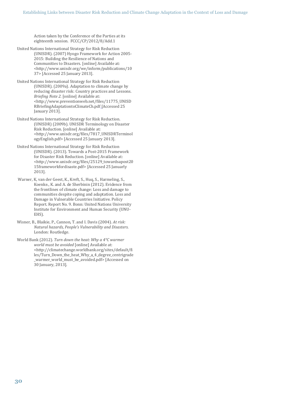Action taken by the Conference of the Parties at its eighteenth session. FCCC/CP/2012/8/Add.1

- United Nations International Strategy for Risk Reduction (UNISDR). (2007) Hyogo Framework for Action 2005- 2015: Building the Resilience of Nations and Communities to Disasters. [online] Available at: <http://www.unisdr.org/we/inform/publications/10 37> [Accessed 25 January 2013].
- United Nations International Strategy for Risk Reduction (UNISDR). (2009a). Adaptation to climate change by reducing disaster risk: Country practices and Lessons. *Briefing Note 2.* [online] Available at: <http://www.preventionweb.net/files/11775\_UNISD RBriefingAdaptationtoClimateCh.pdf [Accessed 25 January 2013].
- United Nations International Strategy for Risk Reduction. (UNISDR) (2009b). UNISDR Terminology on Disaster Risk Reduction. [online] Available at: <http://www.unisdr.org/files/7817\_UNISDRTerminol ogyEnglish.pdf> [Accessed 25 January 2013].
- United Nations International Strategy for Risk Reduction (UNISDR). (2013). Towards a Post-2015 Framework for Disaster Risk Reduction. [online] Available at: <http://www.unisdr.org/files/25129\_towardsapost20 15frameworkfordisaste.pdf> [Accessed 25 Januarly 2013].
- Warner, K, van der Geest, K., Kreft, S., Huq, S., Harmeling, S., Koenke., K. and A. de Sherbinin (2012). Evidence from the frontlines of climate change: Loss and damage to communities despite coping and adaptation. Loss and Damage in Vulnerable Countries Initiative. Policy Report. Report No. 9. Bonn: United Nations University Institute for Environment and Human Security (UNU-EHS).
- Wisner, B., Blaikie, P., Cannon, T. and I. Davis (2004). *At risk: Natural hazards, People's Vulnerability and Disasters*. London: Routledge.
- World Bank (2012). *Turn down the heat: Why a 4°C warmer world must be avoided* [online] Available at: <http://climatechange.worldbank.org/sites/default/fi les/Turn\_Down\_the\_heat\_Why\_a\_4\_degree\_centrigrade \_warmer\_world\_must\_be\_avoided.pdf> [Accessed on 30 January, 2013].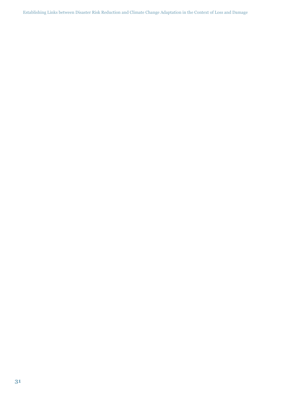Establishing Links between Disaster Risk Reduction and Climate Change Adaptation in the Context of Loss and Damage